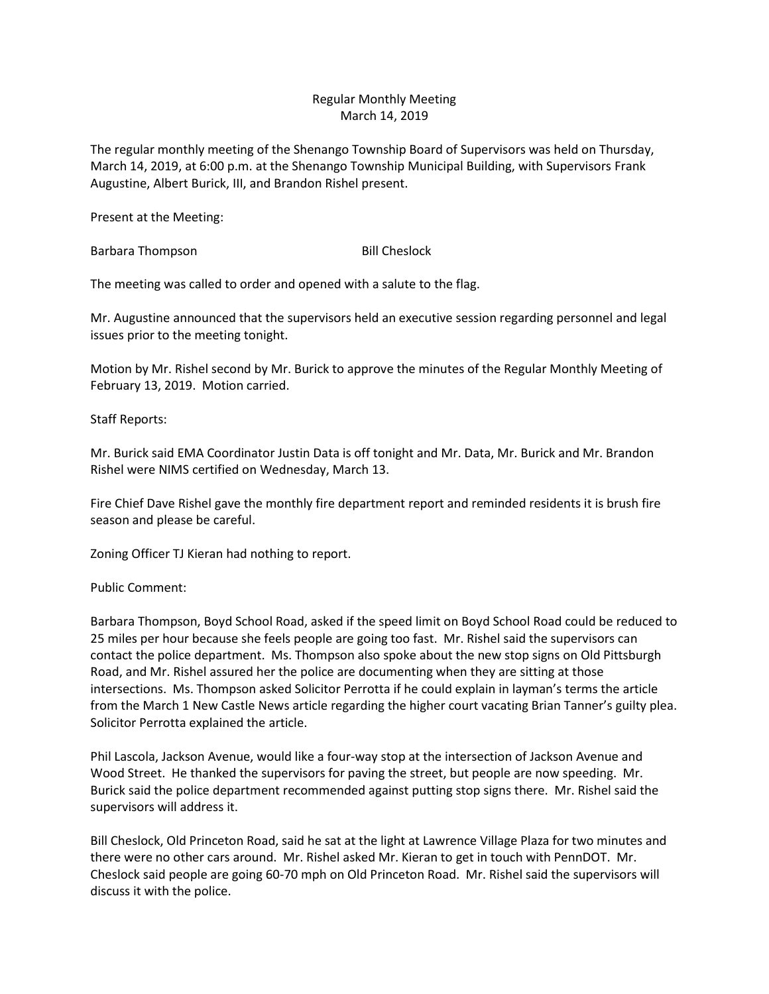## Regular Monthly Meeting March 14, 2019

The regular monthly meeting of the Shenango Township Board of Supervisors was held on Thursday, March 14, 2019, at 6:00 p.m. at the Shenango Township Municipal Building, with Supervisors Frank Augustine, Albert Burick, III, and Brandon Rishel present.

Present at the Meeting:

Barbara Thompson Bill Cheslock

The meeting was called to order and opened with a salute to the flag.

Mr. Augustine announced that the supervisors held an executive session regarding personnel and legal issues prior to the meeting tonight.

Motion by Mr. Rishel second by Mr. Burick to approve the minutes of the Regular Monthly Meeting of February 13, 2019. Motion carried.

Staff Reports:

Mr. Burick said EMA Coordinator Justin Data is off tonight and Mr. Data, Mr. Burick and Mr. Brandon Rishel were NIMS certified on Wednesday, March 13.

Fire Chief Dave Rishel gave the monthly fire department report and reminded residents it is brush fire season and please be careful.

Zoning Officer TJ Kieran had nothing to report.

Public Comment:

Barbara Thompson, Boyd School Road, asked if the speed limit on Boyd School Road could be reduced to 25 miles per hour because she feels people are going too fast. Mr. Rishel said the supervisors can contact the police department. Ms. Thompson also spoke about the new stop signs on Old Pittsburgh Road, and Mr. Rishel assured her the police are documenting when they are sitting at those intersections. Ms. Thompson asked Solicitor Perrotta if he could explain in layman's terms the article from the March 1 New Castle News article regarding the higher court vacating Brian Tanner's guilty plea. Solicitor Perrotta explained the article.

Phil Lascola, Jackson Avenue, would like a four-way stop at the intersection of Jackson Avenue and Wood Street. He thanked the supervisors for paving the street, but people are now speeding. Mr. Burick said the police department recommended against putting stop signs there. Mr. Rishel said the supervisors will address it.

Bill Cheslock, Old Princeton Road, said he sat at the light at Lawrence Village Plaza for two minutes and there were no other cars around. Mr. Rishel asked Mr. Kieran to get in touch with PennDOT. Mr. Cheslock said people are going 60-70 mph on Old Princeton Road. Mr. Rishel said the supervisors will discuss it with the police.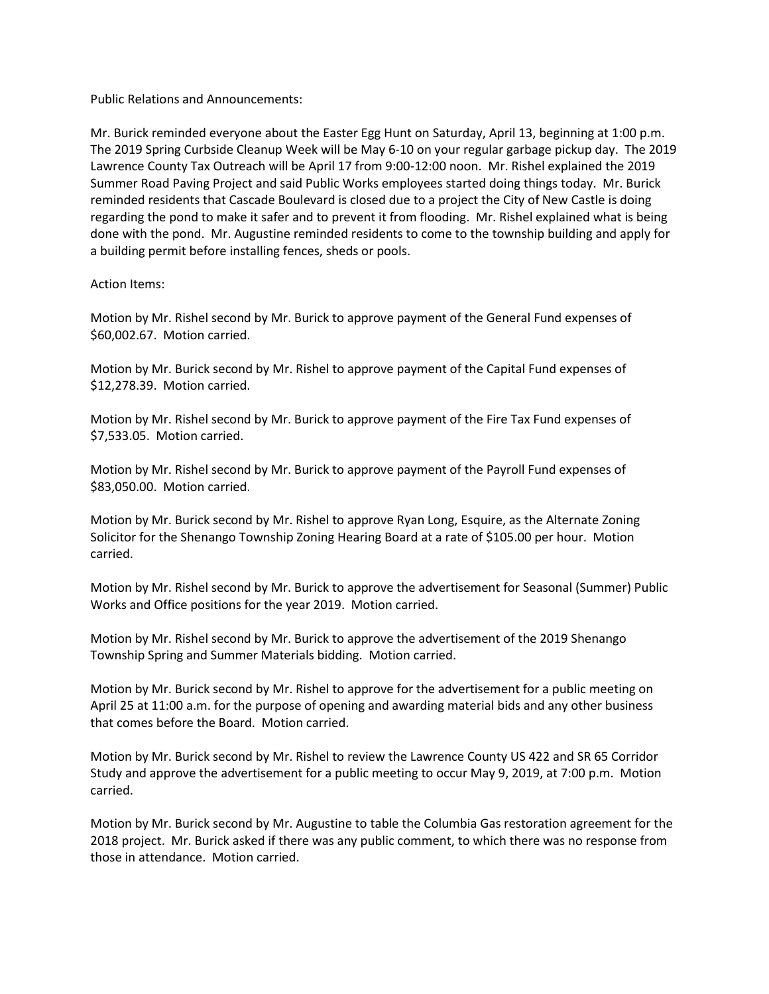Public Relations and Announcements:

Mr. Burick reminded everyone about the Easter Egg Hunt on Saturday, April 13, beginning at 1:00 p.m. The 2019 Spring Curbside Cleanup Week will be May 6-10 on your regular garbage pickup day. The 2019 Lawrence County Tax Outreach will be April 17 from 9:00-12:00 noon. Mr. Rishel explained the 2019 Summer Road Paving Project and said Public Works employees started doing things today. Mr. Burick reminded residents that Cascade Boulevard is closed due to a project the City of New Castle is doing regarding the pond to make it safer and to prevent it from flooding. Mr. Rishel explained what is being done with the pond. Mr. Augustine reminded residents to come to the township building and apply for a building permit before installing fences, sheds or pools.

## Action Items:

Motion by Mr. Rishel second by Mr. Burick to approve payment of the General Fund expenses of \$60,002.67. Motion carried.

Motion by Mr. Burick second by Mr. Rishel to approve payment of the Capital Fund expenses of \$12,278.39. Motion carried.

Motion by Mr. Rishel second by Mr. Burick to approve payment of the Fire Tax Fund expenses of \$7,533.05. Motion carried.

Motion by Mr. Rishel second by Mr. Burick to approve payment of the Payroll Fund expenses of \$83,050.00. Motion carried.

Motion by Mr. Burick second by Mr. Rishel to approve Ryan Long, Esquire, as the Alternate Zoning Solicitor for the Shenango Township Zoning Hearing Board at a rate of \$105.00 per hour. Motion carried.

Motion by Mr. Rishel second by Mr. Burick to approve the advertisement for Seasonal (Summer) Public Works and Office positions for the year 2019. Motion carried.

Motion by Mr. Rishel second by Mr. Burick to approve the advertisement of the 2019 Shenango Township Spring and Summer Materials bidding. Motion carried.

Motion by Mr. Burick second by Mr. Rishel to approve for the advertisement for a public meeting on April 25 at 11:00 a.m. for the purpose of opening and awarding material bids and any other business that comes before the Board. Motion carried.

Motion by Mr. Burick second by Mr. Rishel to review the Lawrence County US 422 and SR 65 Corridor Study and approve the advertisement for a public meeting to occur May 9, 2019, at 7:00 p.m. Motion carried.

Motion by Mr. Burick second by Mr. Augustine to table the Columbia Gas restoration agreement for the 2018 project. Mr. Burick asked if there was any public comment, to which there was no response from those in attendance. Motion carried.